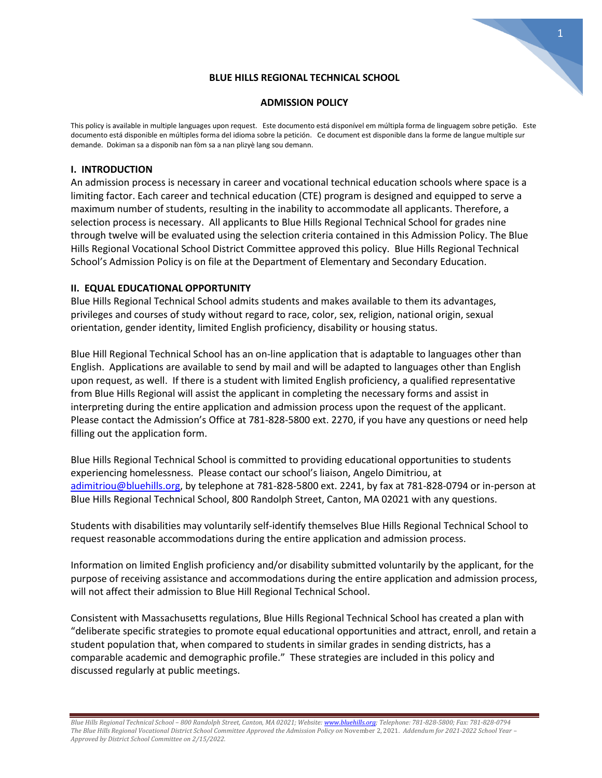# **BLUE HILLS REGIONAL TECHNICAL SCHOOL**

1

## **ADMISSION POLICY**

This policy is available in multiple languages upon request. Este documento está disponível em múltipla forma de linguagem sobre petição. Este documento está disponible en múltiples forma del idioma sobre la petición. Ce document est disponible dans la forme de langue multiple sur demande. Dokiman sa a disponib nan fòm sa a nan plizyè lang sou demann.

# **I. INTRODUCTION**

An admission process is necessary in career and vocational technical education schools where space is a limiting factor. Each career and technical education (CTE) program is designed and equipped to serve a maximum number of students, resulting in the inability to accommodate all applicants. Therefore, a selection process is necessary. All applicants to Blue Hills Regional Technical School for grades nine through twelve will be evaluated using the selection criteria contained in this Admission Policy. The Blue Hills Regional Vocational School District Committee approved this policy. Blue Hills Regional Technical School's Admission Policy is on file at the Department of Elementary and Secondary Education.

# **II. EQUAL EDUCATIONAL OPPORTUNITY**

Blue Hills Regional Technical School admits students and makes available to them its advantages, privileges and courses of study without regard to race, color, sex, religion, national origin, sexual orientation, gender identity, limited English proficiency, disability or housing status.

Blue Hill Regional Technical School has an on-line application that is adaptable to languages other than English. Applications are available to send by mail and will be adapted to languages other than English upon request, as well. If there is a student with limited English proficiency, a qualified representative from Blue Hills Regional will assist the applicant in completing the necessary forms and assist in interpreting during the entire application and admission process upon the request of the applicant. Please contact the Admission's Office at 781-828-5800 ext. 2270, if you have any questions or need help filling out the application form.

Blue Hills Regional Technical School is committed to providing educational opportunities to students experiencing homelessness. Please contact our school's liaison, Angelo Dimitriou, at [adimitriou@bluehills.org,](mailto:adimitriou@bluehills.org) by telephone at 781-828-5800 ext. 2241, by fax at 781-828-0794 or in-person at Blue Hills Regional Technical School, 800 Randolph Street, Canton, MA 02021 with any questions.

Students with disabilities may voluntarily self-identify themselves Blue Hills Regional Technical School to request reasonable accommodations during the entire application and admission process.

Information on limited English proficiency and/or disability submitted voluntarily by the applicant, for the purpose of receiving assistance and accommodations during the entire application and admission process, will not affect their admission to Blue Hill Regional Technical School.

Consistent with Massachusetts regulations, Blue Hills Regional Technical School has created a plan with "deliberate specific strategies to promote equal educational opportunities and attract, enroll, and retain a student population that, when compared to students in similar grades in sending districts, has a comparable academic and demographic profile." These strategies are included in this policy and discussed regularly at public meetings.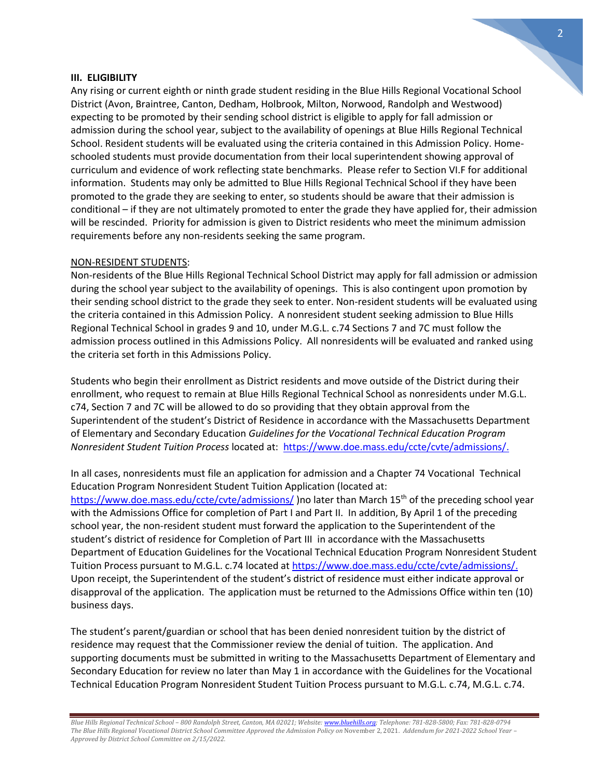#### **III. ELIGIBILITY**

Any rising or current eighth or ninth grade student residing in the Blue Hills Regional Vocational School District (Avon, Braintree, Canton, Dedham, Holbrook, Milton, Norwood, Randolph and Westwood) expecting to be promoted by their sending school district is eligible to apply for fall admission or admission during the school year, subject to the availability of openings at Blue Hills Regional Technical School. Resident students will be evaluated using the criteria contained in this Admission Policy. Homeschooled students must provide documentation from their local superintendent showing approval of curriculum and evidence of work reflecting state benchmarks. Please refer to Section VI.F for additional information. Students may only be admitted to Blue Hills Regional Technical School if they have been promoted to the grade they are seeking to enter, so students should be aware that their admission is conditional – if they are not ultimately promoted to enter the grade they have applied for, their admission will be rescinded. Priority for admission is given to District residents who meet the minimum admission requirements before any non-residents seeking the same program.

### NON-RESIDENT STUDENTS:

Non-residents of the Blue Hills Regional Technical School District may apply for fall admission or admission during the school year subject to the availability of openings. This is also contingent upon promotion by their sending school district to the grade they seek to enter. Non-resident students will be evaluated using the criteria contained in this Admission Policy. A nonresident student seeking admission to Blue Hills Regional Technical School in grades 9 and 10, under M.G.L. c.74 Sections 7 and 7C must follow the admission process outlined in this Admissions Policy. All nonresidents will be evaluated and ranked using the criteria set forth in this Admissions Policy.

Students who begin their enrollment as District residents and move outside of the District during their enrollment, who request to remain at Blue Hills Regional Technical School as nonresidents under M.G.L. c74, Section 7 and 7C will be allowed to do so providing that they obtain approval from the Superintendent of the student's District of Residence in accordance with the Massachusetts Department of Elementary and Secondary Education *Guidelines for the Vocational Technical Education Program Nonresident Student Tuition Process* located at: [https://www.doe.mass.edu/ccte/cvte/admissions/.](https://www.doe.mass.edu/ccte/cvte/admissions/)

In all cases, nonresidents must file an application for admission and a Chapter 74 Vocational Technical Education Program Nonresident Student Tuition Application (located at: <https://www.doe.mass.edu/ccte/cvte/admissions/> )no later than March 15<sup>th</sup> of the preceding school year with the Admissions Office for completion of Part I and Part II. In addition, By April 1 of the preceding school year, the non-resident student must forward the application to the Superintendent of the student's district of residence for Completion of Part III in accordance with the Massachusetts Department of Education Guidelines for the Vocational Technical Education Program Nonresident Student Tuition Process pursuant to M.G.L. c.74 located at [https://www.doe.mass.edu/ccte/cvte/admissions/.](https://www.doe.mass.edu/ccte/cvte/admissions/) Upon receipt, the Superintendent of the student's district of residence must either indicate approval or disapproval of the application. The application must be returned to the Admissions Office within ten (10) business days.

The student's parent/guardian or school that has been denied nonresident tuition by the district of residence may request that the Commissioner review the denial of tuition. The application. And supporting documents must be submitted in writing to the Massachusetts Department of Elementary and Secondary Education for review no later than May 1 in accordance with the Guidelines for the Vocational Technical Education Program Nonresident Student Tuition Process pursuant to M.G.L. c.74, M.G.L. c.74.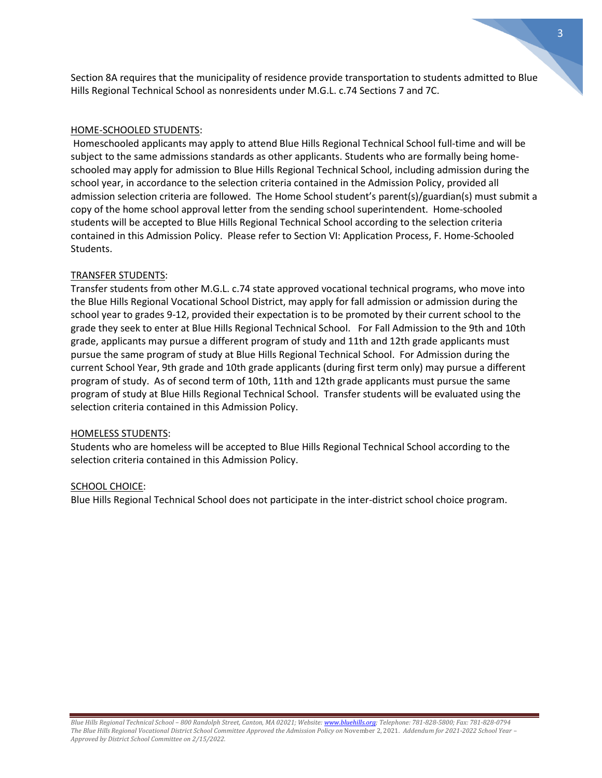Section 8A requires that the municipality of residence provide transportation to students admitted to Blue Hills Regional Technical School as nonresidents under M.G.L. c.74 Sections 7 and 7C.

#### HOME-SCHOOLED STUDENTS:

Homeschooled applicants may apply to attend Blue Hills Regional Technical School full-time and will be subject to the same admissions standards as other applicants. Students who are formally being homeschooled may apply for admission to Blue Hills Regional Technical School, including admission during the school year, in accordance to the selection criteria contained in the Admission Policy, provided all admission selection criteria are followed. The Home School student's parent(s)/guardian(s) must submit a copy of the home school approval letter from the sending school superintendent. Home-schooled students will be accepted to Blue Hills Regional Technical School according to the selection criteria contained in this Admission Policy. Please refer to Section VI: Application Process, F. Home-Schooled Students.

## TRANSFER STUDENTS:

Transfer students from other M.G.L. c.74 state approved vocational technical programs, who move into the Blue Hills Regional Vocational School District, may apply for fall admission or admission during the school year to grades 9-12, provided their expectation is to be promoted by their current school to the grade they seek to enter at Blue Hills Regional Technical School. For Fall Admission to the 9th and 10th grade, applicants may pursue a different program of study and 11th and 12th grade applicants must pursue the same program of study at Blue Hills Regional Technical School. For Admission during the current School Year, 9th grade and 10th grade applicants (during first term only) may pursue a different program of study. As of second term of 10th, 11th and 12th grade applicants must pursue the same program of study at Blue Hills Regional Technical School. Transfer students will be evaluated using the selection criteria contained in this Admission Policy.

#### HOMELESS STUDENTS:

Students who are homeless will be accepted to Blue Hills Regional Technical School according to the selection criteria contained in this Admission Policy.

#### SCHOOL CHOICE:

Blue Hills Regional Technical School does not participate in the inter-district school choice program.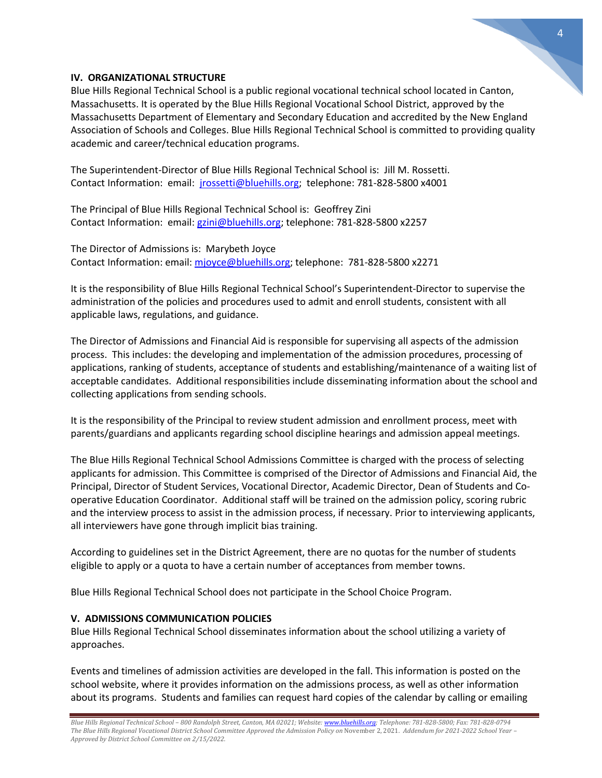

# **IV. ORGANIZATIONAL STRUCTURE**

Blue Hills Regional Technical School is a public regional vocational technical school located in Canton, Massachusetts. It is operated by the Blue Hills Regional Vocational School District, approved by the Massachusetts Department of Elementary and Secondary Education and accredited by the New England Association of Schools and Colleges. Blue Hills Regional Technical School is committed to providing quality academic and career/technical education programs.

The Superintendent-Director of Blue Hills Regional Technical School is: Jill M. Rossetti. Contact Information: email: [jrossetti@bluehills.org;](mailto:jrossetti@bluehills.org) telephone: 781-828-5800 x4001

The Principal of Blue Hills Regional Technical School is: Geoffrey Zini Contact Information: email[: gzini@bluehills.org;](mailto:gzini@bluehills.org) telephone: 781-828-5800 x2257

The Director of Admissions is: Marybeth Joyce Contact Information: email: [mjoyce@bluehills.org;](mailto:mjoyce@bluehills.org) telephone: 781-828-5800 x2271

It is the responsibility of Blue Hills Regional Technical School's Superintendent-Director to supervise the administration of the policies and procedures used to admit and enroll students, consistent with all applicable laws, regulations, and guidance.

The Director of Admissions and Financial Aid is responsible for supervising all aspects of the admission process. This includes: the developing and implementation of the admission procedures, processing of applications, ranking of students, acceptance of students and establishing/maintenance of a waiting list of acceptable candidates. Additional responsibilities include disseminating information about the school and collecting applications from sending schools.

It is the responsibility of the Principal to review student admission and enrollment process, meet with parents/guardians and applicants regarding school discipline hearings and admission appeal meetings.

The Blue Hills Regional Technical School Admissions Committee is charged with the process of selecting applicants for admission. This Committee is comprised of the Director of Admissions and Financial Aid, the Principal, Director of Student Services, Vocational Director, Academic Director, Dean of Students and Cooperative Education Coordinator. Additional staff will be trained on the admission policy, scoring rubric and the interview process to assist in the admission process, if necessary. Prior to interviewing applicants, all interviewers have gone through implicit bias training.

According to guidelines set in the District Agreement, there are no quotas for the number of students eligible to apply or a quota to have a certain number of acceptances from member towns.

Blue Hills Regional Technical School does not participate in the School Choice Program.

# **V. ADMISSIONS COMMUNICATION POLICIES**

Blue Hills Regional Technical School disseminates information about the school utilizing a variety of approaches.

Events and timelines of admission activities are developed in the fall. This information is posted on the school website, where it provides information on the admissions process, as well as other information about its programs. Students and families can request hard copies of the calendar by calling or emailing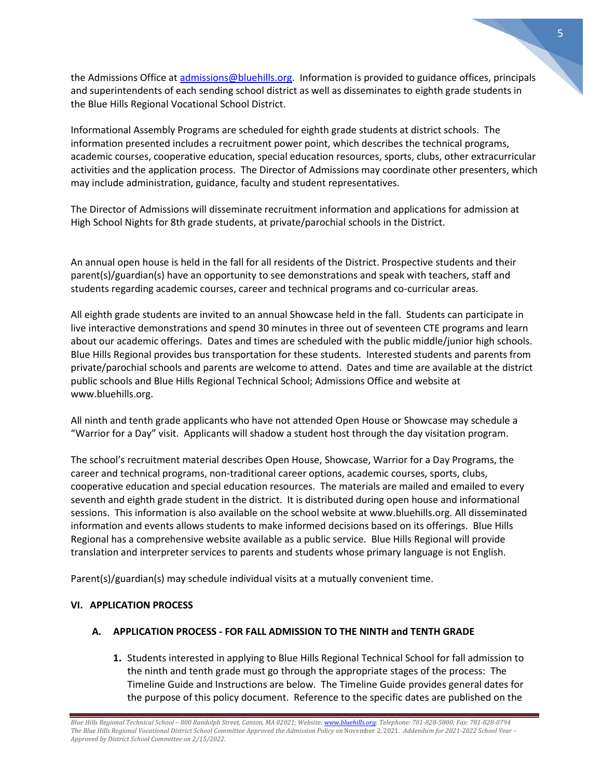the Admissions Office at [admissions@bluehills.org.](mailto:admissions@bluehills.org) Information is provided to guidance offices, principals and superintendents of each sending school district as well as disseminates to eighth grade students in the Blue Hills Regional Vocational School District.

Informational Assembly Programs are scheduled for eighth grade students at district schools. The information presented includes a recruitment power point, which describes the technical programs, academic courses, cooperative education, special education resources, sports, clubs, other extracurricular activities and the application process. The Director of Admissions may coordinate other presenters, which may include administration, guidance, faculty and student representatives.

The Director of Admissions will disseminate recruitment information and applications for admission at High School Nights for 8th grade students, at private/parochial schools in the District.

An annual open house is held in the fall for all residents of the District. Prospective students and their parent(s)/guardian(s) have an opportunity to see demonstrations and speak with teachers, staff and students regarding academic courses, career and technical programs and co-curricular areas.

All eighth grade students are invited to an annual Showcase held in the fall. Students can participate in live interactive demonstrations and spend 30 minutes in three out of seventeen CTE programs and learn about our academic offerings. Dates and times are scheduled with the public middle/junior high schools. Blue Hills Regional provides bus transportation for these students. Interested students and parents from private/parochial schools and parents are welcome to attend. Dates and time are available at the district public schools and Blue Hills Regional Technical School; Admissions Office and website at www.bluehills.org.

All ninth and tenth grade applicants who have not attended Open House or Showcase may schedule a "Warrior for a Day" visit. Applicants will shadow a student host through the day visitation program.

The school's recruitment material describes Open House, Showcase, Warrior for a Day Programs, the career and technical programs, non-traditional career options, academic courses, sports, clubs, cooperative education and special education resources. The materials are mailed and emailed to every seventh and eighth grade student in the district. It is distributed during open house and informational sessions. This information is also available on the school website at www.bluehills.org. All disseminated information and events allows students to make informed decisions based on its offerings. Blue Hills Regional has a comprehensive website available as a public service. Blue Hills Regional will provide translation and interpreter services to parents and students whose primary language is not English.

Parent(s)/guardian(s) may schedule individual visits at a mutually convenient time.

# **VI. APPLICATION PROCESS**

# **A. APPLICATION PROCESS - FOR FALL ADMISSION TO THE NINTH and TENTH GRADE**

**1.** Students interested in applying to Blue Hills Regional Technical School for fall admission to the ninth and tenth grade must go through the appropriate stages of the process: The Timeline Guide and Instructions are below. The Timeline Guide provides general dates for the purpose of this policy document. Reference to the specific dates are published on the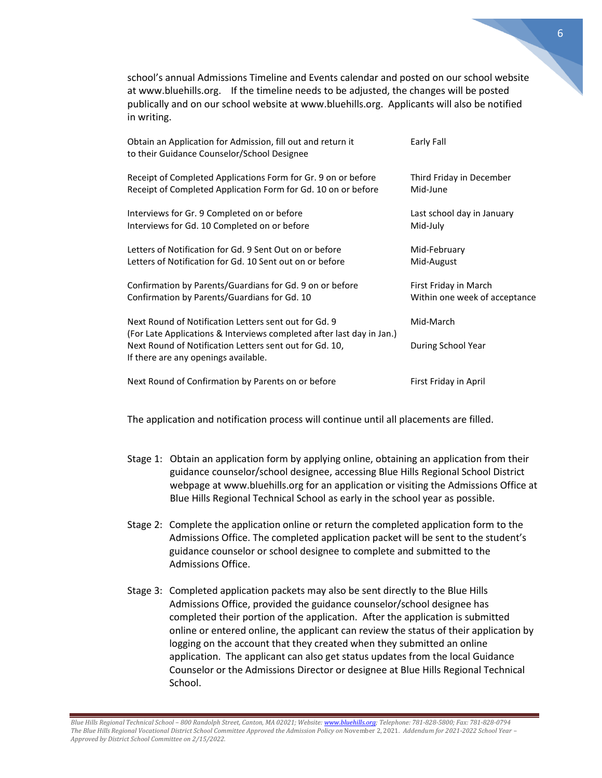school's annual Admissions Timeline and Events calendar and posted on our school website at www.bluehills.org. If the timeline needs to be adjusted, the changes will be posted publically and on our school website at www.bluehills.org. Applicants will also be notified in writing.

| Obtain an Application for Admission, fill out and return it<br>to their Guidance Counselor/School Designee                     | Early Fall                    |
|--------------------------------------------------------------------------------------------------------------------------------|-------------------------------|
| Receipt of Completed Applications Form for Gr. 9 on or before                                                                  | Third Friday in December      |
| Receipt of Completed Application Form for Gd. 10 on or before                                                                  | Mid-June                      |
| Interviews for Gr. 9 Completed on or before                                                                                    | Last school day in January    |
| Interviews for Gd. 10 Completed on or before                                                                                   | Mid-July                      |
| Letters of Notification for Gd. 9 Sent Out on or before                                                                        | Mid-February                  |
| Letters of Notification for Gd. 10 Sent out on or before                                                                       | Mid-August                    |
| Confirmation by Parents/Guardians for Gd. 9 on or before                                                                       | First Friday in March         |
| Confirmation by Parents/Guardians for Gd. 10                                                                                   | Within one week of acceptance |
| Next Round of Notification Letters sent out for Gd. 9<br>(For Late Applications & Interviews completed after last day in Jan.) | Mid-March                     |
| Next Round of Notification Letters sent out for Gd. 10,<br>If there are any openings available.                                | During School Year            |
| Next Round of Confirmation by Parents on or before                                                                             | First Friday in April         |

The application and notification process will continue until all placements are filled.

- Stage 1: Obtain an application form by applying online, obtaining an application from their guidance counselor/school designee, accessing Blue Hills Regional School District webpage at www.bluehills.org for an application or visiting the Admissions Office at Blue Hills Regional Technical School as early in the school year as possible.
- Stage 2: Complete the application online or return the completed application form to the Admissions Office. The completed application packet will be sent to the student's guidance counselor or school designee to complete and submitted to the Admissions Office.
- Stage 3: Completed application packets may also be sent directly to the Blue Hills Admissions Office, provided the guidance counselor/school designee has completed their portion of the application. After the application is submitted online or entered online, the applicant can review the status of their application by logging on the account that they created when they submitted an online application. The applicant can also get status updates from the local Guidance Counselor or the Admissions Director or designee at Blue Hills Regional Technical School.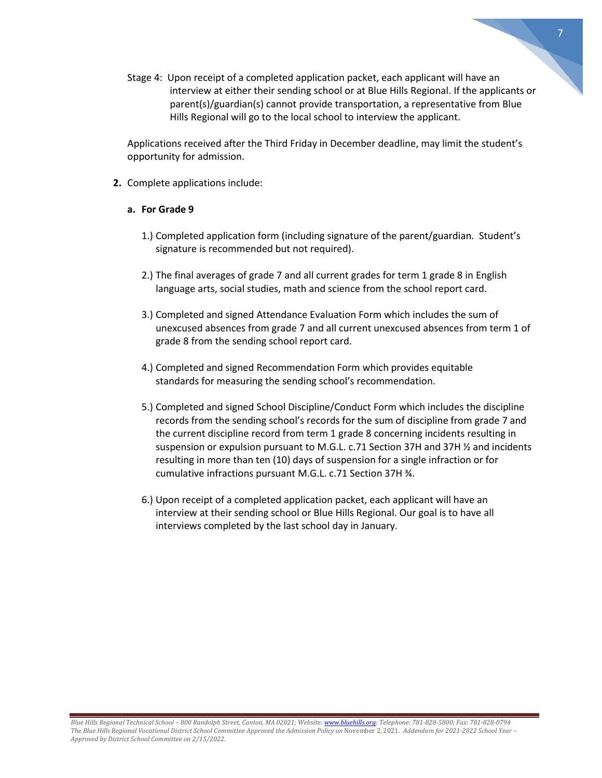Stage 4: Upon receipt of a completed application packet, each applicant will have an interview at either their sending school or at Blue Hills Regional. If the applicants or parent(s)/guardian(s) cannot provide transportation, a representative from Blue Hills Regional will go to the local school to interview the applicant.

 Applications received after the Third Friday in December deadline, may limit the student's opportunity for admission.

**2.** Complete applications include:

# **a. For Grade 9**

- 1.) Completed application form (including signature of the parent/guardian. Student's signature is recommended but not required).
- 2.) The final averages of grade 7 and all current grades for term 1 grade 8 in English language arts, social studies, math and science from the school report card.
- 3.) Completed and signed Attendance Evaluation Form which includes the sum of unexcused absences from grade 7 and all current unexcused absences from term 1 of grade 8 from the sending school report card.
- 4.) Completed and signed Recommendation Form which provides equitable standards for measuring the sending school's recommendation.
- 5.) Completed and signed School Discipline/Conduct Form which includes the discipline records from the sending school's records for the sum of discipline from grade 7 and the current discipline record from term 1 grade 8 concerning incidents resulting in suspension or expulsion pursuant to M.G.L. c.71 Section 37H and 37H ½ and incidents resulting in more than ten (10) days of suspension for a single infraction or for cumulative infractions pursuant M.G.L. c.71 Section 37H ¾.
- 6.) Upon receipt of a completed application packet, each applicant will have an interview at their sending school or Blue Hills Regional. Our goal is to have all interviews completed by the last school day in January.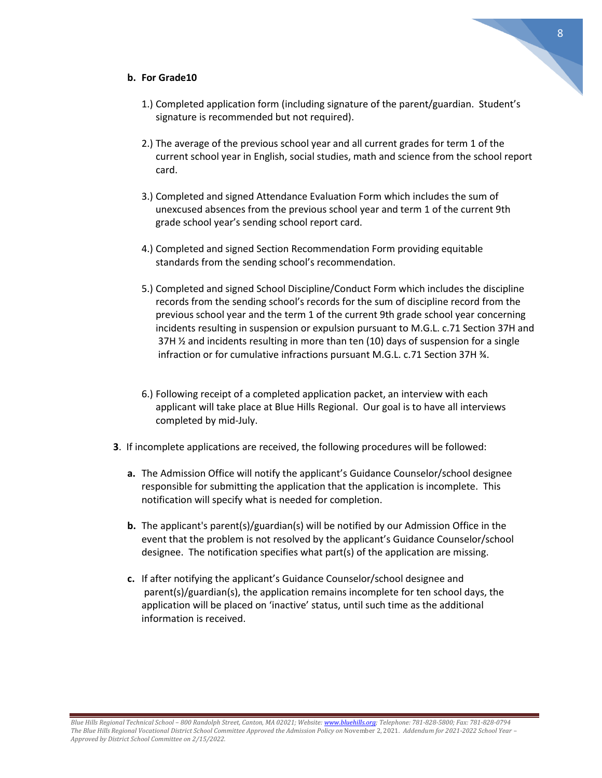# **b. For Grade10**

- 1.) Completed application form (including signature of the parent/guardian. Student's signature is recommended but not required).
- 2.) The average of the previous school year and all current grades for term 1 of the current school year in English, social studies, math and science from the school report card.
- 3.) Completed and signed Attendance Evaluation Form which includes the sum of unexcused absences from the previous school year and term 1 of the current 9th grade school year's sending school report card.
- 4.) Completed and signed Section Recommendation Form providing equitable standards from the sending school's recommendation.
- 5.) Completed and signed School Discipline/Conduct Form which includes the discipline records from the sending school's records for the sum of discipline record from the previous school year and the term 1 of the current 9th grade school year concerning incidents resulting in suspension or expulsion pursuant to M.G.L. c.71 Section 37H and 37H  $\frac{1}{2}$  and incidents resulting in more than ten (10) days of suspension for a single infraction or for cumulative infractions pursuant M.G.L. c.71 Section 37H ¾.
- 6.) Following receipt of a completed application packet, an interview with each applicant will take place at Blue Hills Regional. Our goal is to have all interviews completed by mid-July.
- **3**. If incomplete applications are received, the following procedures will be followed:
	- **a.** The Admission Office will notify the applicant's Guidance Counselor/school designee responsible for submitting the application that the application is incomplete. This notification will specify what is needed for completion.
	- **b.** The applicant's parent(s)/guardian(s) will be notified by our Admission Office in the event that the problem is not resolved by the applicant's Guidance Counselor/school designee. The notification specifies what part(s) of the application are missing.
	- **c.** If after notifying the applicant's Guidance Counselor/school designee and parent(s)/guardian(s), the application remains incomplete for ten school days, the application will be placed on 'inactive' status, until such time as the additional information is received.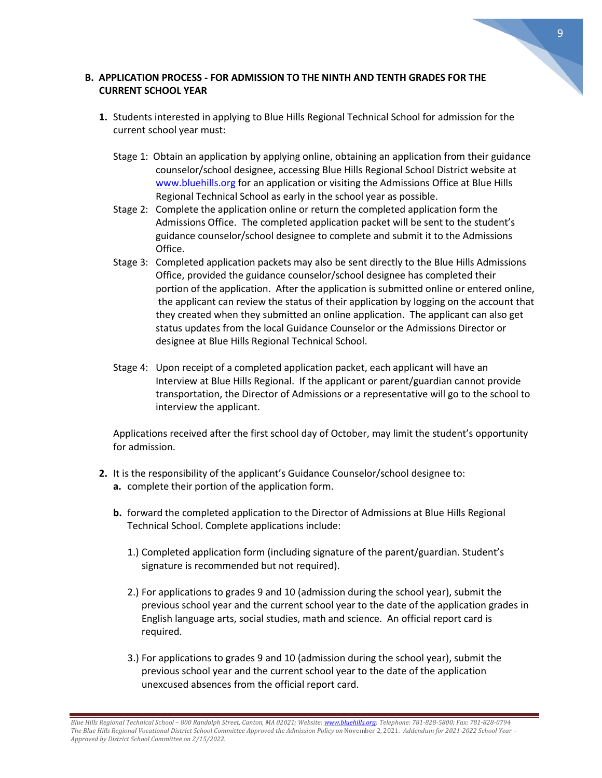# **B. APPLICATION PROCESS - FOR ADMISSION TO THE NINTH AND TENTH GRADES FOR THE CURRENT SCHOOL YEAR**

- **1.** Students interested in applying to Blue Hills Regional Technical School for admission for the current school year must:
	- Stage 1: Obtain an application by applying online, obtaining an application from their guidance counselor/school designee, accessing Blue Hills Regional School District website at [www.bluehills.org](http://www.bluehills.org/) for an application or visiting the Admissions Office at Blue Hills Regional Technical School as early in the school year as possible.
	- Stage 2: Complete the application online or return the completed application form the Admissions Office. The completed application packet will be sent to the student's guidance counselor/school designee to complete and submit it to the Admissions Office.
	- Stage 3: Completed application packets may also be sent directly to the Blue Hills Admissions Office, provided the guidance counselor/school designee has completed their portion of the application. After the application is submitted online or entered online, the applicant can review the status of their application by logging on the account that they created when they submitted an online application. The applicant can also get status updates from the local Guidance Counselor or the Admissions Director or designee at Blue Hills Regional Technical School.
	- Stage 4: Upon receipt of a completed application packet, each applicant will have an Interview at Blue Hills Regional. If the applicant or parent/guardian cannot provide transportation, the Director of Admissions or a representative will go to the school to interview the applicant.

 Applications received after the first school day of October, may limit the student's opportunity for admission.

- **2.** It is the responsibility of the applicant's Guidance Counselor/school designee to:
	- **a.** complete their portion of the application form.
	- **b.** forward the completed application to the Director of Admissions at Blue Hills Regional Technical School. Complete applications include:
		- 1.) Completed application form (including signature of the parent/guardian. Student's signature is recommended but not required).
		- 2.) For applications to grades 9 and 10 (admission during the school year), submit the previous school year and the current school year to the date of the application grades in English language arts, social studies, math and science. An official report card is required.
		- 3.) For applications to grades 9 and 10 (admission during the school year), submit the previous school year and the current school year to the date of the application unexcused absences from the official report card.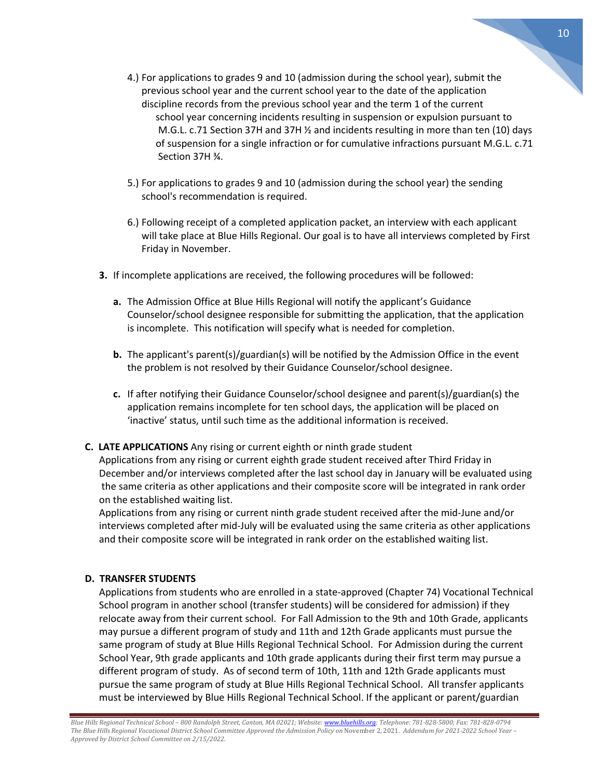- 4.) For applications to grades 9 and 10 (admission during the school year), submit the previous school year and the current school year to the date of the application discipline records from the previous school year and the term 1 of the current school year concerning incidents resulting in suspension or expulsion pursuant to M.G.L. c.71 Section 37H and 37H ½ and incidents resulting in more than ten (10) days of suspension for a single infraction or for cumulative infractions pursuant M.G.L. c.71 Section 37H ¾.
- 5.) For applications to grades 9 and 10 (admission during the school year) the sending school's recommendation is required.
- 6.) Following receipt of a completed application packet, an interview with each applicant will take place at Blue Hills Regional. Our goal is to have all interviews completed by First Friday in November.
- **3.** If incomplete applications are received, the following procedures will be followed:
	- **a.** The Admission Office at Blue Hills Regional will notify the applicant's Guidance Counselor/school designee responsible for submitting the application, that the application is incomplete. This notification will specify what is needed for completion.
	- **b.** The applicant's parent(s)/guardian(s) will be notified by the Admission Office in the event the problem is not resolved by their Guidance Counselor/school designee.
	- **c.** If after notifying their Guidance Counselor/school designee and parent(s)/guardian(s) the application remains incomplete for ten school days, the application will be placed on 'inactive' status, until such time as the additional information is received.

# **C. LATE APPLICATIONS** Any rising or current eighth or ninth grade student

Applications from any rising or current eighth grade student received after Third Friday in December and/or interviews completed after the last school day in January will be evaluated using the same criteria as other applications and their composite score will be integrated in rank order on the established waiting list.

Applications from any rising or current ninth grade student received after the mid-June and/or interviews completed after mid-July will be evaluated using the same criteria as other applications and their composite score will be integrated in rank order on the established waiting list.

# **D. TRANSFER STUDENTS**

Applications from students who are enrolled in a state-approved (Chapter 74) Vocational Technical School program in another school (transfer students) will be considered for admission) if they relocate away from their current school. For Fall Admission to the 9th and 10th Grade, applicants may pursue a different program of study and 11th and 12th Grade applicants must pursue the same program of study at Blue Hills Regional Technical School. For Admission during the current School Year, 9th grade applicants and 10th grade applicants during their first term may pursue a different program of study. As of second term of 10th, 11th and 12th Grade applicants must pursue the same program of study at Blue Hills Regional Technical School. All transfer applicants must be interviewed by Blue Hills Regional Technical School. If the applicant or parent/guardian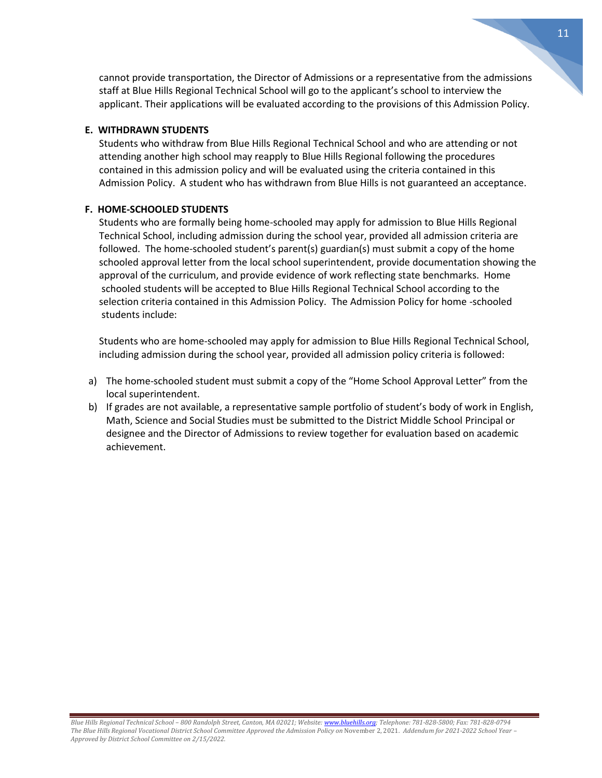cannot provide transportation, the Director of Admissions or a representative from the admissions staff at Blue Hills Regional Technical School will go to the applicant's school to interview the applicant. Their applications will be evaluated according to the provisions of this Admission Policy.

### **E. WITHDRAWN STUDENTS**

Students who withdraw from Blue Hills Regional Technical School and who are attending or not attending another high school may reapply to Blue Hills Regional following the procedures contained in this admission policy and will be evaluated using the criteria contained in this Admission Policy. A student who has withdrawn from Blue Hills is not guaranteed an acceptance.

## **F. HOME-SCHOOLED STUDENTS**

Students who are formally being home-schooled may apply for admission to Blue Hills Regional Technical School, including admission during the school year, provided all admission criteria are followed. The home-schooled student's parent(s) guardian(s) must submit a copy of the home schooled approval letter from the local school superintendent, provide documentation showing the approval of the curriculum, and provide evidence of work reflecting state benchmarks. Home schooled students will be accepted to Blue Hills Regional Technical School according to the selection criteria contained in this Admission Policy. The Admission Policy for home -schooled students include:

Students who are home-schooled may apply for admission to Blue Hills Regional Technical School, including admission during the school year, provided all admission policy criteria is followed:

- a) The home-schooled student must submit a copy of the "Home School Approval Letter" from the local superintendent.
- b) If grades are not available, a representative sample portfolio of student's body of work in English, Math, Science and Social Studies must be submitted to the District Middle School Principal or designee and the Director of Admissions to review together for evaluation based on academic achievement.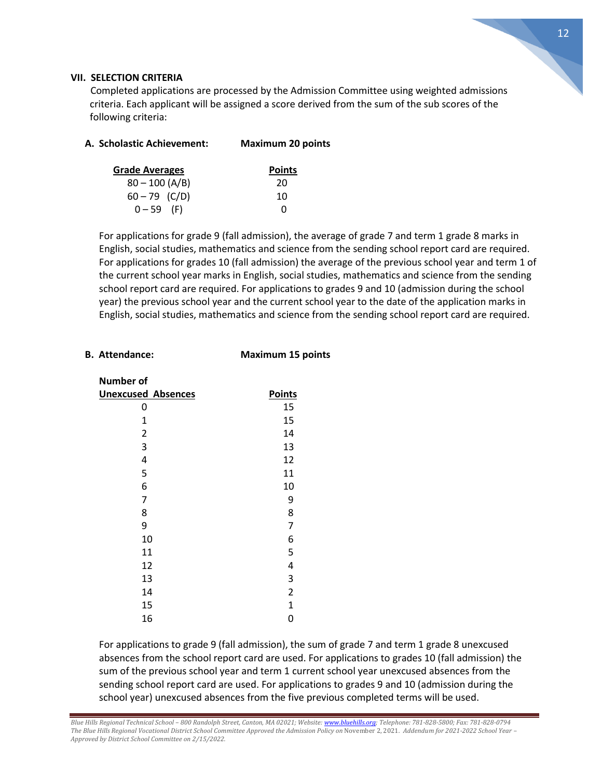

## **VII. SELECTION CRITERIA**

 Completed applications are processed by the Admission Committee using weighted admissions criteria. Each applicant will be assigned a score derived from the sum of the sub scores of the following criteria:

| A. Scholastic Achievement: | <b>Maximum 20 points</b> |
|----------------------------|--------------------------|
|                            |                          |

| <b>Grade Averages</b> | <b>Points</b> |
|-----------------------|---------------|
| $80 - 100 (A/B)$      | 20            |
| $60 - 79$ (C/D)       | 10            |
| $0 - 59$ (F)          | O             |

For applications for grade 9 (fall admission), the average of grade 7 and term 1 grade 8 marks in English, social studies, mathematics and science from the sending school report card are required. For applications for grades 10 (fall admission) the average of the previous school year and term 1 of the current school year marks in English, social studies, mathematics and science from the sending school report card are required. For applications to grades 9 and 10 (admission during the school year) the previous school year and the current school year to the date of the application marks in English, social studies, mathematics and science from the sending school report card are required.

# **B. Attendance: Maximum 15 points**

**Number of** 

**Unexcused Absences Points** 0 15  $1 \hspace{1.5cm} 15$ 

| $\overline{2}$          | 14             |
|-------------------------|----------------|
| 3                       | 13             |
| $\overline{\mathbf{r}}$ | 12             |
| 5                       | 11             |
| 6                       | 10             |
| 7                       | 9              |
| 8                       | 8              |
| 9                       | 7              |
| 10                      | 6              |
| 11                      | 5              |
| 12                      | 4              |
| 13                      | 3              |
| 14                      | $\overline{2}$ |
| 15                      | $\mathbf{1}$   |
| 16                      | 0              |

For applications to grade 9 (fall admission), the sum of grade 7 and term 1 grade 8 unexcused absences from the school report card are used. For applications to grades 10 (fall admission) the sum of the previous school year and term 1 current school year unexcused absences from the sending school report card are used. For applications to grades 9 and 10 (admission during the school year) unexcused absences from the five previous completed terms will be used.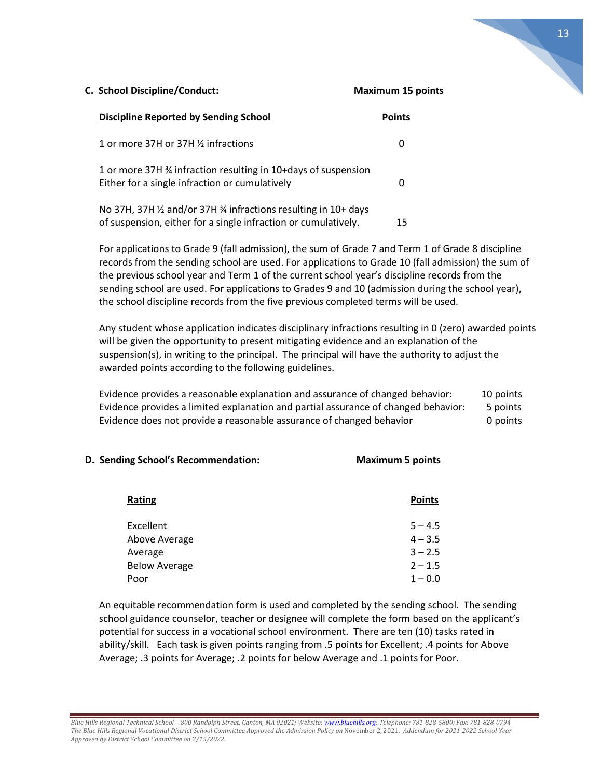| <b>Discipline Reported by Sending School</b>                                                                                       | Points |
|------------------------------------------------------------------------------------------------------------------------------------|--------|
| 1 or more 37H or 37H 1/2 infractions                                                                                               |        |
| 1 or more 37H 3/4 infraction resulting in 10+days of suspension<br>Either for a single infraction or cumulatively                  |        |
| No 37H, 37H 1/2 and/or 37H 3/4 infractions resulting in 10+ days<br>of suspension, either for a single infraction or cumulatively. | 15     |

For applications to Grade 9 (fall admission), the sum of Grade 7 and Term 1 of Grade 8 discipline records from the sending school are used. For applications to Grade 10 (fall admission) the sum of the previous school year and Term 1 of the current school year's discipline records from the sending school are used. For applications to Grades 9 and 10 (admission during the school year), the school discipline records from the five previous completed terms will be used.

Any student whose application indicates disciplinary infractions resulting in 0 (zero) awarded points will be given the opportunity to present mitigating evidence and an explanation of the suspension(s), in writing to the principal. The principal will have the authority to adjust the awarded points according to the following guidelines.

Evidence provides a reasonable explanation and assurance of changed behavior: 10 points Evidence provides a limited explanation and partial assurance of changed behavior: 5 points Evidence does not provide a reasonable assurance of changed behavior 0 points

#### **D. Sending School's Recommendation: Maximum 5 points**

| <b>Rating</b> |                      | <b>Points</b> |
|---------------|----------------------|---------------|
| Excellent     |                      | $5 - 4.5$     |
|               | Above Average        | $4 - 3.5$     |
| Average       |                      | $3 - 2.5$     |
|               | <b>Below Average</b> | $2 - 1.5$     |
| Poor          |                      | $1 - 0.0$     |

An equitable recommendation form is used and completed by the sending school. The sending school guidance counselor, teacher or designee will complete the form based on the applicant's potential for success in a vocational school environment. There are ten (10) tasks rated in ability/skill. Each task is given points ranging from .5 points for Excellent; .4 points for Above Average; .3 points for Average; .2 points for below Average and .1 points for Poor.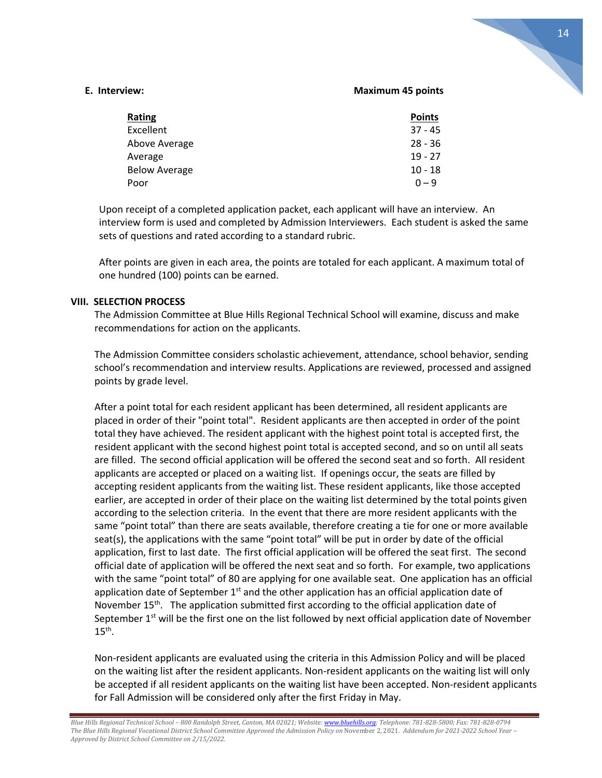#### **E. Interview: Maximum 45 points**

| <b>Rating</b>        | <b>Points</b> |
|----------------------|---------------|
| Excellent            | $37 - 45$     |
| Above Average        | $28 - 36$     |
| Average              | $19 - 27$     |
| <b>Below Average</b> | $10 - 18$     |
| Poor                 | $0 - 9$       |

Upon receipt of a completed application packet, each applicant will have an interview. An interview form is used and completed by Admission Interviewers. Each student is asked the same sets of questions and rated according to a standard rubric.

 After points are given in each area, the points are totaled for each applicant. A maximum total of one hundred (100) points can be earned.

#### **VIII. SELECTION PROCESS**

The Admission Committee at Blue Hills Regional Technical School will examine, discuss and make recommendations for action on the applicants.

The Admission Committee considers scholastic achievement, attendance, school behavior, sending school's recommendation and interview results. Applications are reviewed, processed and assigned points by grade level.

After a point total for each resident applicant has been determined, all resident applicants are placed in order of their "point total". Resident applicants are then accepted in order of the point total they have achieved. The resident applicant with the highest point total is accepted first, the resident applicant with the second highest point total is accepted second, and so on until all seats are filled. The second official application will be offered the second seat and so forth. All resident applicants are accepted or placed on a waiting list. If openings occur, the seats are filled by accepting resident applicants from the waiting list. These resident applicants, like those accepted earlier, are accepted in order of their place on the waiting list determined by the total points given according to the selection criteria. In the event that there are more resident applicants with the same "point total" than there are seats available, therefore creating a tie for one or more available seat(s), the applications with the same "point total" will be put in order by date of the official application, first to last date. The first official application will be offered the seat first. The second official date of application will be offered the next seat and so forth. For example, two applications with the same "point total" of 80 are applying for one available seat. One application has an official application date of September  $1<sup>st</sup>$  and the other application has an official application date of November 15<sup>th</sup>. The application submitted first according to the official application date of September 1<sup>st</sup> will be the first one on the list followed by next official application date of November  $15<sup>th</sup>$ .

Non-resident applicants are evaluated using the criteria in this Admission Policy and will be placed on the waiting list after the resident applicants. Non-resident applicants on the waiting list will only be accepted if all resident applicants on the waiting list have been accepted. Non-resident applicants for Fall Admission will be considered only after the first Friday in May.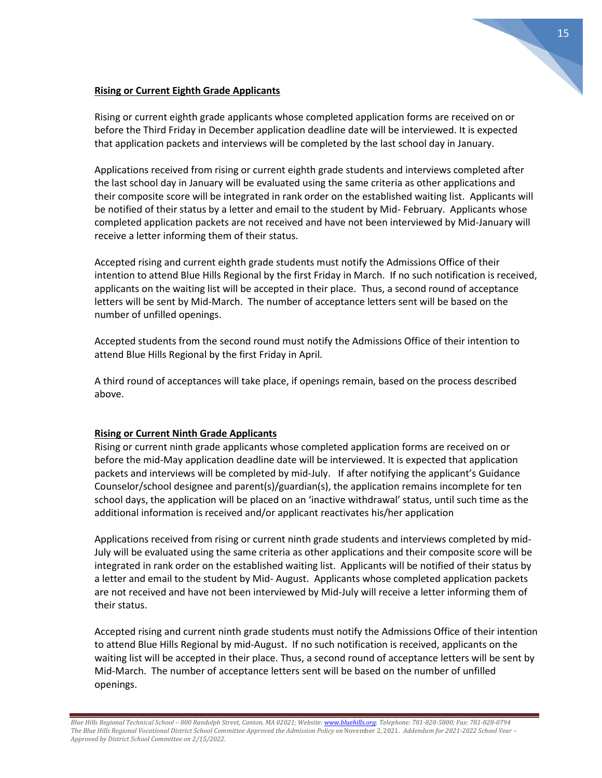# **Rising or Current Eighth Grade Applicants**

Rising or current eighth grade applicants whose completed application forms are received on or before the Third Friday in December application deadline date will be interviewed. It is expected that application packets and interviews will be completed by the last school day in January.

Applications received from rising or current eighth grade students and interviews completed after the last school day in January will be evaluated using the same criteria as other applications and their composite score will be integrated in rank order on the established waiting list. Applicants will be notified of their status by a letter and email to the student by Mid- February. Applicants whose completed application packets are not received and have not been interviewed by Mid-January will receive a letter informing them of their status.

Accepted rising and current eighth grade students must notify the Admissions Office of their intention to attend Blue Hills Regional by the first Friday in March. If no such notification is received, applicants on the waiting list will be accepted in their place. Thus, a second round of acceptance letters will be sent by Mid-March. The number of acceptance letters sent will be based on the number of unfilled openings.

Accepted students from the second round must notify the Admissions Office of their intention to attend Blue Hills Regional by the first Friday in April.

A third round of acceptances will take place, if openings remain, based on the process described above.

# **Rising or Current Ninth Grade Applicants**

Rising or current ninth grade applicants whose completed application forms are received on or before the mid-May application deadline date will be interviewed. It is expected that application packets and interviews will be completed by mid-July. If after notifying the applicant's Guidance Counselor/school designee and parent(s)/guardian(s), the application remains incomplete for ten school days, the application will be placed on an 'inactive withdrawal' status, until such time as the additional information is received and/or applicant reactivates his/her application

Applications received from rising or current ninth grade students and interviews completed by mid-July will be evaluated using the same criteria as other applications and their composite score will be integrated in rank order on the established waiting list. Applicants will be notified of their status by a letter and email to the student by Mid- August. Applicants whose completed application packets are not received and have not been interviewed by Mid-July will receive a letter informing them of their status.

Accepted rising and current ninth grade students must notify the Admissions Office of their intention to attend Blue Hills Regional by mid-August. If no such notification is received, applicants on the waiting list will be accepted in their place. Thus, a second round of acceptance letters will be sent by Mid-March. The number of acceptance letters sent will be based on the number of unfilled openings.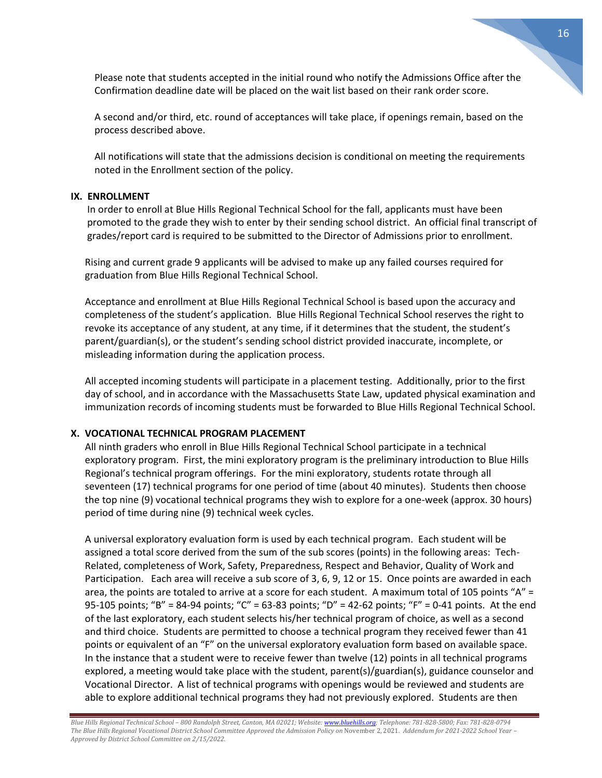Please note that students accepted in the initial round who notify the Admissions Office after the Confirmation deadline date will be placed on the wait list based on their rank order score.

A second and/or third, etc. round of acceptances will take place, if openings remain, based on the process described above.

All notifications will state that the admissions decision is conditional on meeting the requirements noted in the Enrollment section of the policy.

#### **IX. ENROLLMENT**

In order to enroll at Blue Hills Regional Technical School for the fall, applicants must have been promoted to the grade they wish to enter by their sending school district. An official final transcript of grades/report card is required to be submitted to the Director of Admissions prior to enrollment.

Rising and current grade 9 applicants will be advised to make up any failed courses required for graduation from Blue Hills Regional Technical School.

Acceptance and enrollment at Blue Hills Regional Technical School is based upon the accuracy and completeness of the student's application. Blue Hills Regional Technical School reserves the right to revoke its acceptance of any student, at any time, if it determines that the student, the student's parent/guardian(s), or the student's sending school district provided inaccurate, incomplete, or misleading information during the application process.

All accepted incoming students will participate in a placement testing. Additionally, prior to the first day of school, and in accordance with the Massachusetts State Law, updated physical examination and immunization records of incoming students must be forwarded to Blue Hills Regional Technical School.

# **X. VOCATIONAL TECHNICAL PROGRAM PLACEMENT**

All ninth graders who enroll in Blue Hills Regional Technical School participate in a technical exploratory program. First, the mini exploratory program is the preliminary introduction to Blue Hills Regional's technical program offerings. For the mini exploratory, students rotate through all seventeen (17) technical programs for one period of time (about 40 minutes). Students then choose the top nine (9) vocational technical programs they wish to explore for a one-week (approx. 30 hours) period of time during nine (9) technical week cycles.

A universal exploratory evaluation form is used by each technical program. Each student will be assigned a total score derived from the sum of the sub scores (points) in the following areas: Tech-Related, completeness of Work, Safety, Preparedness, Respect and Behavior, Quality of Work and Participation. Each area will receive a sub score of 3, 6, 9, 12 or 15. Once points are awarded in each area, the points are totaled to arrive at a score for each student. A maximum total of 105 points "A" = 95-105 points; "B" = 84-94 points; "C" = 63-83 points; "D" = 42-62 points; "F" = 0-41 points. At the end of the last exploratory, each student selects his/her technical program of choice, as well as a second and third choice. Students are permitted to choose a technical program they received fewer than 41 points or equivalent of an "F" on the universal exploratory evaluation form based on available space. In the instance that a student were to receive fewer than twelve (12) points in all technical programs explored, a meeting would take place with the student, parent(s)/guardian(s), guidance counselor and Vocational Director. A list of technical programs with openings would be reviewed and students are able to explore additional technical programs they had not previously explored. Students are then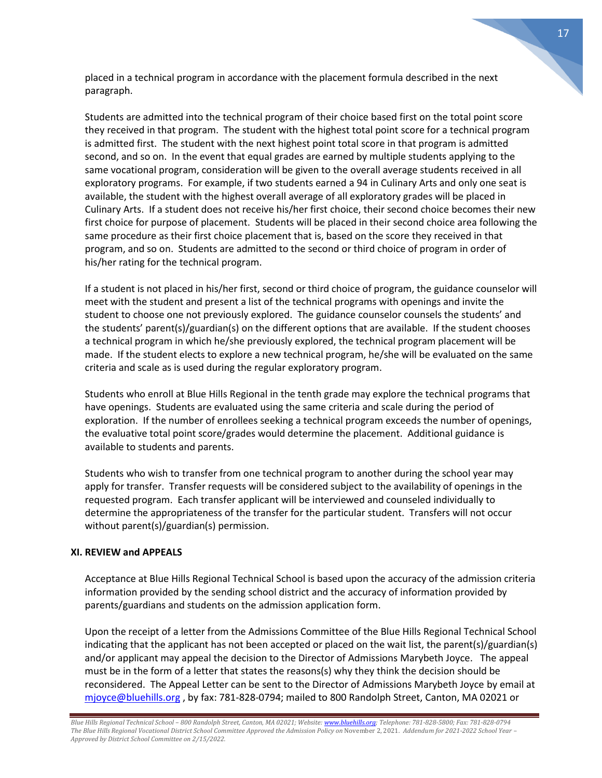placed in a technical program in accordance with the placement formula described in the next paragraph.

Students are admitted into the technical program of their choice based first on the total point score they received in that program. The student with the highest total point score for a technical program is admitted first. The student with the next highest point total score in that program is admitted second, and so on. In the event that equal grades are earned by multiple students applying to the same vocational program, consideration will be given to the overall average students received in all exploratory programs. For example, if two students earned a 94 in Culinary Arts and only one seat is available, the student with the highest overall average of all exploratory grades will be placed in Culinary Arts. If a student does not receive his/her first choice, their second choice becomes their new first choice for purpose of placement. Students will be placed in their second choice area following the same procedure as their first choice placement that is, based on the score they received in that program, and so on. Students are admitted to the second or third choice of program in order of his/her rating for the technical program.

If a student is not placed in his/her first, second or third choice of program, the guidance counselor will meet with the student and present a list of the technical programs with openings and invite the student to choose one not previously explored. The guidance counselor counsels the students' and the students' parent(s)/guardian(s) on the different options that are available. If the student chooses a technical program in which he/she previously explored, the technical program placement will be made. If the student elects to explore a new technical program, he/she will be evaluated on the same criteria and scale as is used during the regular exploratory program.

Students who enroll at Blue Hills Regional in the tenth grade may explore the technical programs that have openings. Students are evaluated using the same criteria and scale during the period of exploration. If the number of enrollees seeking a technical program exceeds the number of openings, the evaluative total point score/grades would determine the placement. Additional guidance is available to students and parents.

Students who wish to transfer from one technical program to another during the school year may apply for transfer. Transfer requests will be considered subject to the availability of openings in the requested program. Each transfer applicant will be interviewed and counseled individually to determine the appropriateness of the transfer for the particular student. Transfers will not occur without parent(s)/guardian(s) permission.

# **XI. REVIEW and APPEALS**

Acceptance at Blue Hills Regional Technical School is based upon the accuracy of the admission criteria information provided by the sending school district and the accuracy of information provided by parents/guardians and students on the admission application form.

Upon the receipt of a letter from the Admissions Committee of the Blue Hills Regional Technical School indicating that the applicant has not been accepted or placed on the wait list, the parent(s)/guardian(s) and/or applicant may appeal the decision to the Director of Admissions Marybeth Joyce. The appeal must be in the form of a letter that states the reasons(s) why they think the decision should be reconsidered. The Appeal Letter can be sent to the Director of Admissions Marybeth Joyce by email at [mjoyce@bluehills.org](mailto:mjoyce@bluehills.org) , by fax: 781-828-0794; mailed to 800 Randolph Street, Canton, MA 02021 or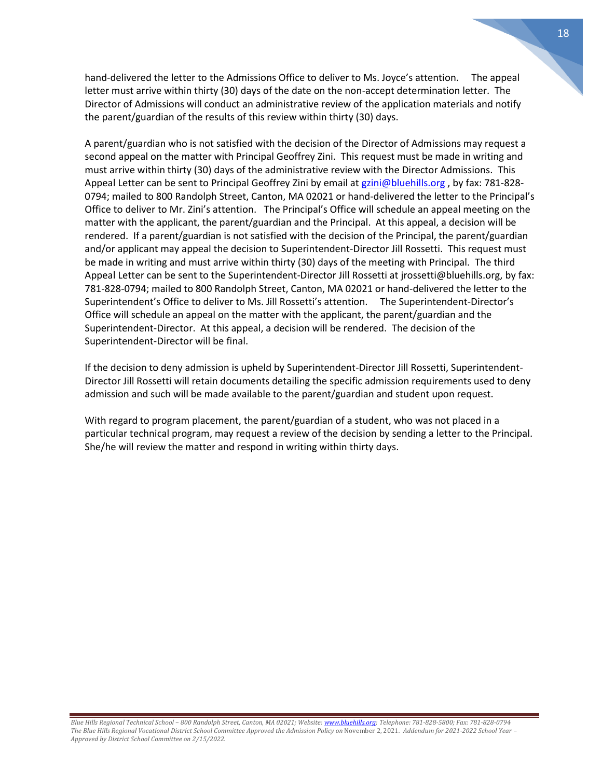hand-delivered the letter to the Admissions Office to deliver to Ms. Joyce's attention. The appeal letter must arrive within thirty (30) days of the date on the non-accept determination letter. The Director of Admissions will conduct an administrative review of the application materials and notify the parent/guardian of the results of this review within thirty (30) days.

A parent/guardian who is not satisfied with the decision of the Director of Admissions may request a second appeal on the matter with Principal Geoffrey Zini. This request must be made in writing and must arrive within thirty (30) days of the administrative review with the Director Admissions. This Appeal Letter can be sent to Principal Geoffrey Zini by email at [gzini@bluehills.org](mailto:gzini@bluehills.org), by fax: 781-828-0794; mailed to 800 Randolph Street, Canton, MA 02021 or hand-delivered the letter to the Principal's Office to deliver to Mr. Zini's attention. The Principal's Office will schedule an appeal meeting on the matter with the applicant, the parent/guardian and the Principal. At this appeal, a decision will be rendered. If a parent/guardian is not satisfied with the decision of the Principal, the parent/guardian and/or applicant may appeal the decision to Superintendent-Director Jill Rossetti. This request must be made in writing and must arrive within thirty (30) days of the meeting with Principal. The third Appeal Letter can be sent to the Superintendent-Director Jill Rossetti at jrossetti@bluehills.org, by fax: 781-828-0794; mailed to 800 Randolph Street, Canton, MA 02021 or hand-delivered the letter to the Superintendent's Office to deliver to Ms. Jill Rossetti's attention. The Superintendent-Director's Office will schedule an appeal on the matter with the applicant, the parent/guardian and the Superintendent-Director. At this appeal, a decision will be rendered. The decision of the Superintendent-Director will be final.

If the decision to deny admission is upheld by Superintendent-Director Jill Rossetti, Superintendent-Director Jill Rossetti will retain documents detailing the specific admission requirements used to deny admission and such will be made available to the parent/guardian and student upon request.

With regard to program placement, the parent/guardian of a student, who was not placed in a particular technical program, may request a review of the decision by sending a letter to the Principal. She/he will review the matter and respond in writing within thirty days.